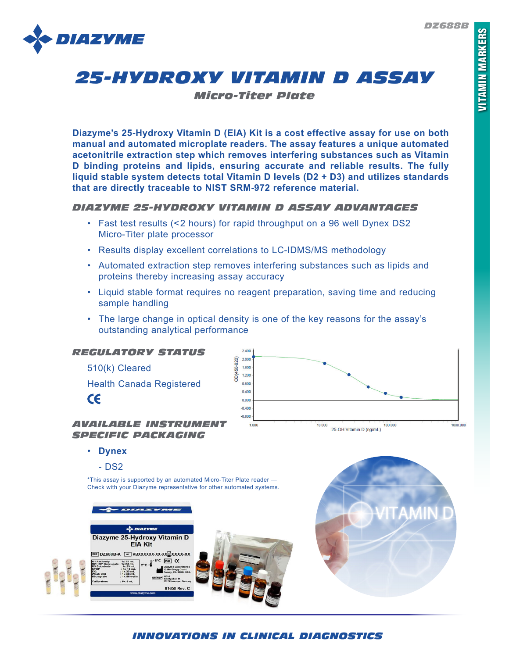

# *25-HYDROXY VITAMIN D ASSAY*

*Micro-Titer Plate*

**Diazyme's 25-Hydroxy Vitamin D (EIA) Kit is a cost effective assay for use on both manual and automated microplate readers. The assay features a unique automated acetonitrile extraction step which removes interfering substances such as Vitamin D binding proteins and lipids, ensuring accurate and reliable results. The fully liquid stable system detects total Vitamin D levels (D2 + D3) and utilizes standards that are directly traceable to NIST SRM-972 reference material.**

## *DIAZYME 25-HYDROXY VITAMIN D ASSAY ADVANTAGES*

- Fast test results (<2 hours) for rapid throughput on a 96 well Dynex DS2 Micro-Titer plate processor
- Results display excellent correlations to LC-IDMS/MS methodology
- Automated extraction step removes interfering substances such as lipids and proteins thereby increasing assay accuracy
- Liquid stable format requires no reagent preparation, saving time and reducing sample handling
- The large change in optical density is one of the key reasons for the assay's outstanding analytical performance



• **Dynex**

- DS2

\*This assay is supported by an automated Micro-Titer Plate reader — Check with your Diazyme representative for other automated systems.





# *INNOVATIONS IN CLINICAL DIAGNOSTICS*